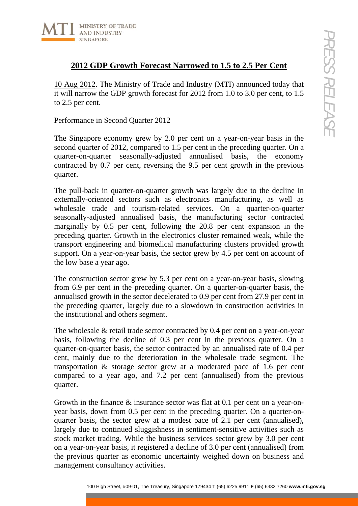

# **2012 GDP Growth Forecast Narrowed to 1.5 to 2.5 Per Cent**

10 Aug 2012. The Ministry of Trade and Industry (MTI) announced today that it will narrow the GDP growth forecast for 2012 from 1.0 to 3.0 per cent, to 1.5 to 2.5 per cent.

## Performance in Second Quarter 2012

The Singapore economy grew by 2.0 per cent on a year-on-year basis in the second quarter of 2012, compared to 1.5 per cent in the preceding quarter. On a quarter-on-quarter seasonally-adjusted annualised basis, the economy contracted by 0.7 per cent, reversing the 9.5 per cent growth in the previous quarter.

100 Houstons<br>
100 Houstons (Control Forcesses Marrowed to 1.5 to 2.5 Per Cent<br>
10.12. The Ministry of Trade and Industry (MT1) announced today that<br>
we the GDP growth forcesses for 2012 from 1.0 to 3.0 per cent, to 1.5<br>
c The pull-back in quarter-on-quarter growth was largely due to the decline in externally-oriented sectors such as electronics manufacturing, as well as wholesale trade and tourism-related services. On a quarter-on-quarter seasonally-adjusted annualised basis, the manufacturing sector contracted marginally by 0.5 per cent, following the 20.8 per cent expansion in the preceding quarter. Growth in the electronics cluster remained weak, while the transport engineering and biomedical manufacturing clusters provided growth support. On a year-on-year basis, the sector grew by 4.5 per cent on account of the low base a year ago.

The construction sector grew by 5.3 per cent on a year-on-year basis, slowing from 6.9 per cent in the preceding quarter. On a quarter-on-quarter basis, the annualised growth in the sector decelerated to 0.9 per cent from 27.9 per cent in the preceding quarter, largely due to a slowdown in construction activities in the institutional and others segment.

The wholesale & retail trade sector contracted by 0.4 per cent on a year-on-year basis, following the decline of 0.3 per cent in the previous quarter. On a quarter-on-quarter basis, the sector contracted by an annualised rate of 0.4 per cent, mainly due to the deterioration in the wholesale trade segment. The transportation & storage sector grew at a moderated pace of 1.6 per cent compared to a year ago, and 7.2 per cent (annualised) from the previous quarter.

Growth in the finance & insurance sector was flat at 0.1 per cent on a year-onyear basis, down from 0.5 per cent in the preceding quarter. On a quarter-onquarter basis, the sector grew at a modest pace of 2.1 per cent (annualised), largely due to continued sluggishness in sentiment-sensitive activities such as stock market trading. While the business services sector grew by 3.0 per cent on a year-on-year basis, it registered a decline of 3.0 per cent (annualised) from the previous quarter as economic uncertainty weighed down on business and management consultancy activities.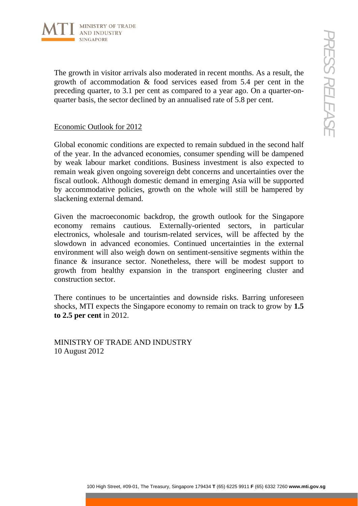

The growth in visitor arrivals also moderated in recent months. As a result, the growth of accommodation & food services eased from 5.4 per cent in the preceding quarter, to 3.1 per cent as compared to a year ago. On a quarter-onquarter basis, the sector declined by an annualised rate of 5.8 per cent.

### Economic Outlook for 2012

Global economic conditions are expected to remain subdued in the second half of the year. In the advanced economies, consumer spending will be dampened by weak labour market conditions. Business investment is also expected to remain weak given ongoing sovereign debt concerns and uncertainties over the fiscal outlook. Although domestic demand in emerging Asia will be supported by accommodative policies, growth on the whole will still be hampered by slackening external demand.

100 Houstone Constrained in recent months. As a result, the Constrained in the accommodation & food services essed from 5.4 per cent in the accommodation & food services essed from 5.4 per cent in the Treasury, to 3.1 per Given the macroeconomic backdrop, the growth outlook for the Singapore economy remains cautious. Externally-oriented sectors, in particular electronics, wholesale and tourism-related services, will be affected by the slowdown in advanced economies. Continued uncertainties in the external environment will also weigh down on sentiment-sensitive segments within the finance & insurance sector. Nonetheless, there will be modest support to growth from healthy expansion in the transport engineering cluster and construction sector.

There continues to be uncertainties and downside risks. Barring unforeseen shocks, MTI expects the Singapore economy to remain on track to grow by **1.5 to 2.5 per cent** in 2012.

MINISTRY OF TRADE AND INDUSTRY 10 August 2012